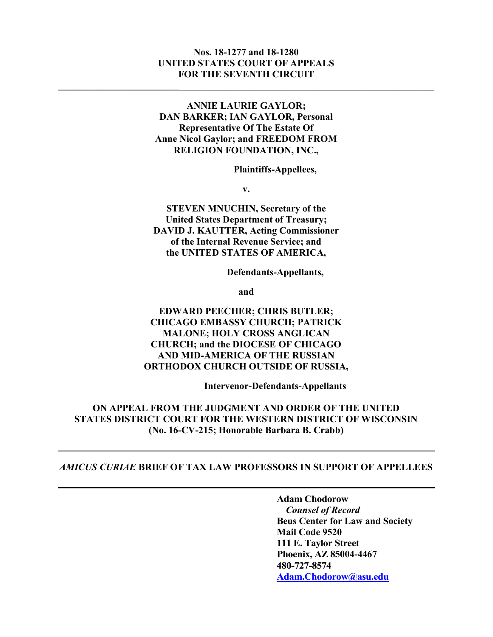#### Nos. 18-1277 and 18-1280 UNITED STATES COURT OF APPEALS FOR THE SEVENTH CIRCUIT

 $\mathcal{L}_\text{max} = \mathcal{L}_\text{max} = \mathcal{L}_\text{max} = \mathcal{L}_\text{max} = \mathcal{L}_\text{max} = \mathcal{L}_\text{max} = \mathcal{L}_\text{max} = \mathcal{L}_\text{max} = \mathcal{L}_\text{max} = \mathcal{L}_\text{max} = \mathcal{L}_\text{max} = \mathcal{L}_\text{max} = \mathcal{L}_\text{max} = \mathcal{L}_\text{max} = \mathcal{L}_\text{max} = \mathcal{L}_\text{max} = \mathcal{L}_\text{max} = \mathcal{L}_\text{max} = \mathcal{$ 

## ANNIE LAURIE GAYLOR; DAN BARKER; IAN GAYLOR, Personal Representative Of The Estate Of Anne Nicol Gaylor; and FREEDOM FROM RELIGION FOUNDATION, INC.,

Plaintiffs-Appellees,

v.

STEVEN MNUCHIN, Secretary of the United States Department of Treasury; DAVID J. KAUTTER, Acting Commissioner of the Internal Revenue Service; and the UNITED STATES OF AMERICA,

Defendants-Appellants,

and

# EDWARD PEECHER; CHRIS BUTLER; CHICAGO EMBASSY CHURCH; PATRICK MALONE; HOLY CROSS ANGLICAN CHURCH; and the DIOCESE OF CHICAGO AND MID-AMERICA OF THE RUSSIAN ORTHODOX CHURCH OUTSIDE OF RUSSIA,

Intervenor-Defendants-Appellants

ON APPEAL FROM THE JUDGMENT AND ORDER OF THE UNITED STATES DISTRICT COURT FOR THE WESTERN DISTRICT OF WISCONSIN (No. 16-CV-215; Honorable Barbara B. Crabb)

#### AMICUS CURIAE BRIEF OF TAX LAW PROFESSORS IN SUPPORT OF APPELLEES

l

Adam Chodorow Counsel of Record Beus Center for Law and Society Mail Code 9520 111 E. Taylor Street Phoenix, AZ 85004-4467 480-727-8574 Adam.Chodorow@asu.edu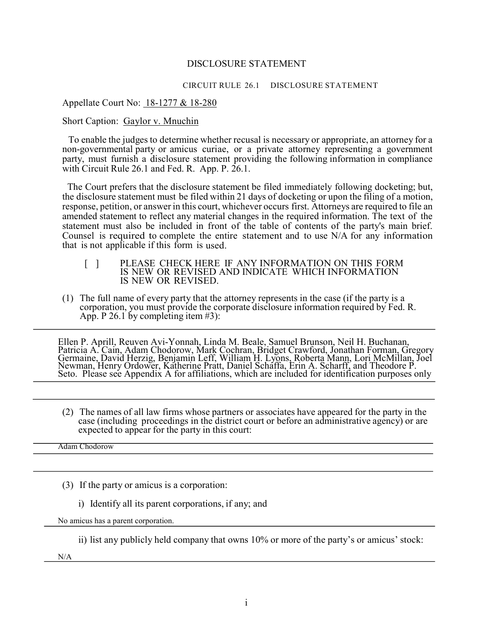#### DISCLOSURE STATEMENT

#### CIRCUIT RULE 26.1 DISCLOSURE STATEMENT

#### Appellate Court No: 18-1277 & 18-280

#### Short Caption: Gaylor v. Mnuchin

To enable the judges to determine whether recusal is necessary or appropriate, an attorney for a non-governmental party or amicus curiae, or a private attorney representing a government party, must furnish a disclosure statement providing the following information in compliance with Circuit Rule 26.1 and Fed. R. App. P. 26.1.

The Court prefers that the disclosure statement be filed immediately following docketing; but, the disclosure statement must be filed within 21 days of docketing or upon the filing of a motion, response, petition, or answer in this court, whichever occurs first. Attorneys are required to file an amended statement to reflect any material changes in the required information. The text of the statement must also be included in front of the table of contents of the party's main brief. Counsel is required to complete the entire statement and to use N/A for any information that is not applicable if this form is used.

- [ ] PLEASE CHECK HERE IF ANY INFORMATION ON THIS FORM IS NEW OR REVISED AND INDICATE WHICH INFORMATION IS NEW OR REVISED.
- (1) The full name of every party that the attorney represents in the case (if the party is a corporation, you must provide the corporate disclosure information required by Fed. R. App. P 26.1 by completing item #3):

Ellen P. Aprill, Reuven Avi-Yonnah, Linda M. Beale, Samuel Brunson, Neil H. Buchanan, Patricia A. Cain, Adam Chodorow, Mark Cochran, Bridget Crawford, Jonathan Forman, Gregory Germaine, David Herzig, Benjamin Leff, William H. Lyons, Roberta Mann, Lori McMillan, Joel Newman, Henry Ordower, Katherine Pratt, Daniel Schaffa, Erin A. Scharff, and Theodore P. Seto. Please see Appendix A for affiliations, which are included for identification purposes only

(2) The names of all law firms whose partners or associates have appeared for the party in the case (including proceedings in the district court or before an administrative agency) or are expected to appear for the party in this court:

Adam Chodorow

- (3) If the party or amicus is a corporation:
	- i) Identify all its parent corporations, if any; and

No amicus has a parent corporation.

ii) list any publicly held company that owns 10% or more of the party's or amicus' stock:

N/A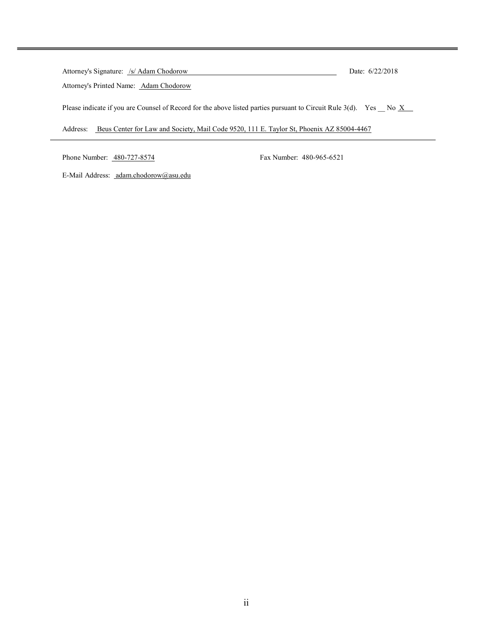| Attorney's Signature: /s/ Adam Chodorow                                                                           | Date: $6/22/2018$ |
|-------------------------------------------------------------------------------------------------------------------|-------------------|
| Attorney's Printed Name: Adam Chodorow                                                                            |                   |
| Please indicate if you are Counsel of Record for the above listed parties pursuant to Circuit Rule 3(d). Yes No X |                   |
| Beus Center for Law and Society, Mail Code 9520, 111 E. Taylor St, Phoenix AZ 85004-4467<br>Address:              |                   |

Phone Number: 480-727-8574 Fax Number: 480-965-6521

E-Mail Address: adam.chodorow@asu.edu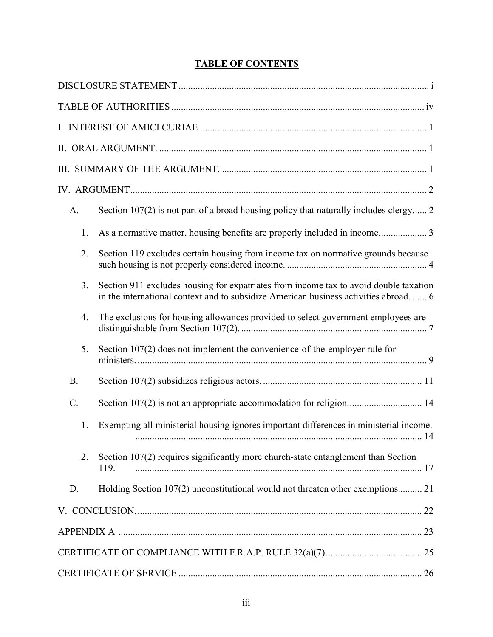# TABLE OF CONTENTS

| A.        | Section 107(2) is not part of a broad housing policy that naturally includes clergy 2                                                                                          |
|-----------|--------------------------------------------------------------------------------------------------------------------------------------------------------------------------------|
| 1.        | As a normative matter, housing benefits are properly included in income 3                                                                                                      |
| 2.        | Section 119 excludes certain housing from income tax on normative grounds because                                                                                              |
| 3.        | Section 911 excludes housing for expatriates from income tax to avoid double taxation<br>in the international context and to subsidize American business activities abroad.  6 |
| 4.        | The exclusions for housing allowances provided to select government employees are                                                                                              |
| 5.        | Section 107(2) does not implement the convenience-of-the-employer rule for                                                                                                     |
| <b>B.</b> |                                                                                                                                                                                |
| $C$ .     | Section 107(2) is not an appropriate accommodation for religion 14                                                                                                             |
| 1.        | Exempting all ministerial housing ignores important differences in ministerial income.                                                                                         |
| 2.        | Section 107(2) requires significantly more church-state entanglement than Section<br>119.                                                                                      |
| D.        | Holding Section 107(2) unconstitutional would not threaten other exemptions 21                                                                                                 |
|           |                                                                                                                                                                                |
|           |                                                                                                                                                                                |
|           |                                                                                                                                                                                |
|           |                                                                                                                                                                                |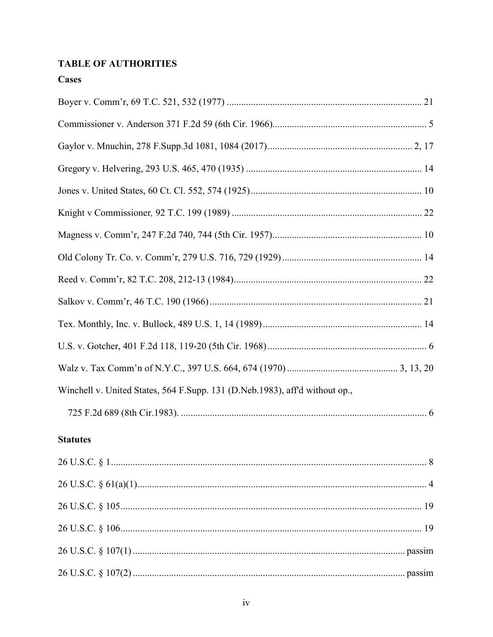# **TABLE OF AUTHORITIES**

# **Cases**

| Winchell v. United States, 564 F.Supp. 131 (D.Neb.1983), aff'd without op., |
|-----------------------------------------------------------------------------|
|                                                                             |
| <b>Statutes</b>                                                             |
|                                                                             |
|                                                                             |
|                                                                             |
|                                                                             |
|                                                                             |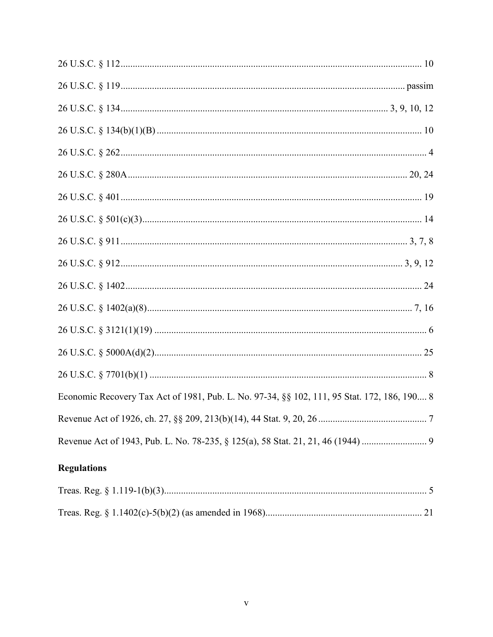| Economic Recovery Tax Act of 1981, Pub. L. No. 97-34, §§ 102, 111, 95 Stat. 172, 186, 190 8 |
|---------------------------------------------------------------------------------------------|
|                                                                                             |
|                                                                                             |

# **Regulations**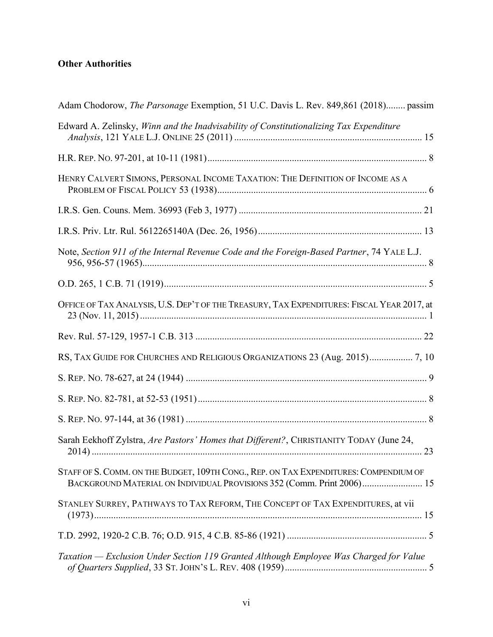# Other Authorities

| Adam Chodorow, The Parsonage Exemption, 51 U.C. Davis L. Rev. 849,861 (2018) passim                                                                             |
|-----------------------------------------------------------------------------------------------------------------------------------------------------------------|
| Edward A. Zelinsky, Winn and the Inadvisability of Constitutionalizing Tax Expenditure                                                                          |
|                                                                                                                                                                 |
| HENRY CALVERT SIMONS, PERSONAL INCOME TAXATION: THE DEFINITION OF INCOME AS A                                                                                   |
|                                                                                                                                                                 |
|                                                                                                                                                                 |
| Note, Section 911 of the Internal Revenue Code and the Foreign-Based Partner, 74 YALE L.J.                                                                      |
|                                                                                                                                                                 |
| OFFICE OF TAX ANALYSIS, U.S. DEP'T OF THE TREASURY, TAX EXPENDITURES: FISCAL YEAR 2017, at                                                                      |
|                                                                                                                                                                 |
| RS, TAX GUIDE FOR CHURCHES AND RELIGIOUS ORGANIZATIONS 23 (Aug. 2015) 7, 10                                                                                     |
|                                                                                                                                                                 |
|                                                                                                                                                                 |
|                                                                                                                                                                 |
| Sarah Eekhoff Zylstra, Are Pastors' Homes that Different?, CHRISTIANITY TODAY (June 24,                                                                         |
| STAFF OF S. COMM. ON THE BUDGET, 109TH CONG., REP. ON TAX EXPENDITURES: COMPENDIUM OF<br>BACKGROUND MATERIAL ON INDIVIDUAL PROVISIONS 352 (Comm. Print 2006) 15 |
| STANLEY SURREY, PATHWAYS TO TAX REFORM, THE CONCEPT OF TAX EXPENDITURES, at vii                                                                                 |
|                                                                                                                                                                 |
| Taxation - Exclusion Under Section 119 Granted Although Employee Was Charged for Value                                                                          |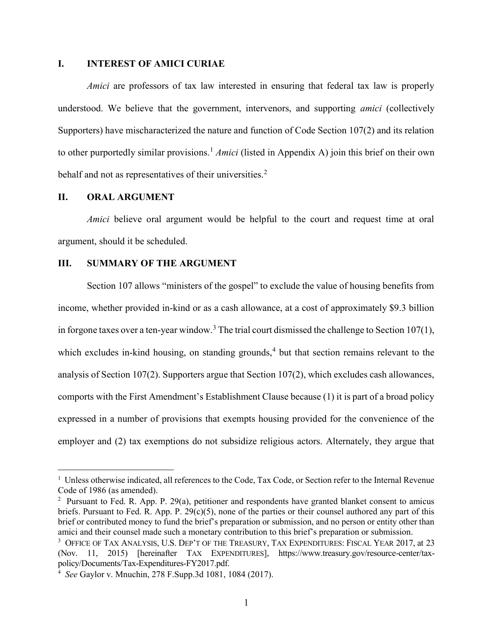#### I. INTEREST OF AMICI CURIAE

Amici are professors of tax law interested in ensuring that federal tax law is properly understood. We believe that the government, intervenors, and supporting *amici* (collectively Supporters) have mischaracterized the nature and function of Code Section 107(2) and its relation to other purportedly similar provisions.<sup>1</sup> Amici (listed in Appendix A) join this brief on their own behalf and not as representatives of their universities.<sup>2</sup>

#### II. ORAL ARGUMENT

 $\overline{a}$ 

Amici believe oral argument would be helpful to the court and request time at oral argument, should it be scheduled.

#### III. SUMMARY OF THE ARGUMENT

Section 107 allows "ministers of the gospel" to exclude the value of housing benefits from income, whether provided in-kind or as a cash allowance, at a cost of approximately \$9.3 billion in forgone taxes over a ten-year window.<sup>3</sup> The trial court dismissed the challenge to Section 107(1), which excludes in-kind housing, on standing grounds,<sup>4</sup> but that section remains relevant to the analysis of Section 107(2). Supporters argue that Section 107(2), which excludes cash allowances, comports with the First Amendment's Establishment Clause because (1) it is part of a broad policy expressed in a number of provisions that exempts housing provided for the convenience of the employer and (2) tax exemptions do not subsidize religious actors. Alternately, they argue that

<sup>&</sup>lt;sup>1</sup> Unless otherwise indicated, all references to the Code, Tax Code, or Section refer to the Internal Revenue Code of 1986 (as amended).

<sup>&</sup>lt;sup>2</sup> Pursuant to Fed. R. App. P. 29(a), petitioner and respondents have granted blanket consent to amicus briefs. Pursuant to Fed. R. App. P.  $29(c)(5)$ , none of the parties or their counsel authored any part of this brief or contributed money to fund the brief's preparation or submission, and no person or entity other than amici and their counsel made such a monetary contribution to this brief's preparation or submission.

 $^3$  Office of Tax Analysis, U.S. Dep't of the Treasury, Tax Expenditures: Fiscal Year 2017, at 23 (Nov. 11, 2015) [hereinafter TAX EXPENDITURES], https://www.treasury.gov/resource-center/taxpolicy/Documents/Tax-Expenditures-FY2017.pdf.

<sup>4</sup> See Gaylor v. Mnuchin, 278 F.Supp.3d 1081, 1084 (2017).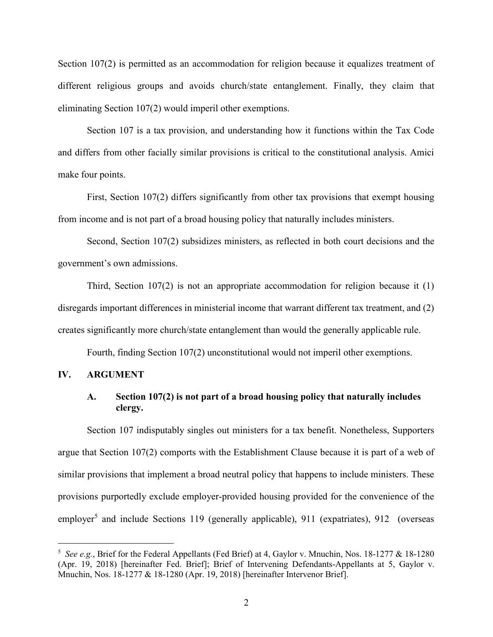Section 107(2) is permitted as an accommodation for religion because it equalizes treatment of different religious groups and avoids church/state entanglement. Finally, they claim that eliminating Section 107(2) would imperil other exemptions.

Section 107 is a tax provision, and understanding how it functions within the Tax Code and differs from other facially similar provisions is critical to the constitutional analysis. Amici make four points.

First, Section 107(2) differs significantly from other tax provisions that exempt housing from income and is not part of a broad housing policy that naturally includes ministers.

Second, Section 107(2) subsidizes ministers, as reflected in both court decisions and the government's own admissions.

Third, Section 107(2) is not an appropriate accommodation for religion because it (1) disregards important differences in ministerial income that warrant different tax treatment, and (2) creates significantly more church/state entanglement than would the generally applicable rule.

Fourth, finding Section 107(2) unconstitutional would not imperil other exemptions.

#### IV. ARGUMENT

 $\overline{a}$ 

### A. Section 107(2) is not part of a broad housing policy that naturally includes clergy.

Section 107 indisputably singles out ministers for a tax benefit. Nonetheless, Supporters argue that Section 107(2) comports with the Establishment Clause because it is part of a web of similar provisions that implement a broad neutral policy that happens to include ministers. These provisions purportedly exclude employer-provided housing provided for the convenience of the employer<sup>5</sup> and include Sections 119 (generally applicable), 911 (expatriates), 912 (overseas

<sup>&</sup>lt;sup>5</sup> See e.g., Brief for the Federal Appellants (Fed Brief) at 4, Gaylor v. Mnuchin, Nos. 18-1277 & 18-1280 (Apr. 19, 2018) [hereinafter Fed. Brief]; Brief of Intervening Defendants-Appellants at 5, Gaylor v. Mnuchin, Nos. 18-1277 & 18-1280 (Apr. 19, 2018) [hereinafter Intervenor Brief].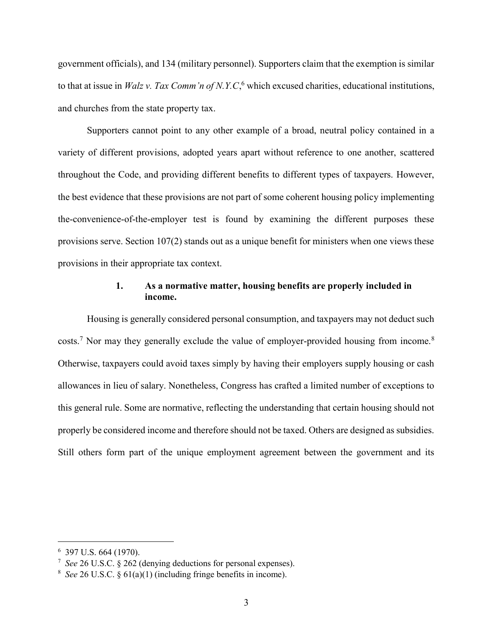government officials), and 134 (military personnel). Supporters claim that the exemption is similar to that at issue in *Walz v. Tax Comm'n of N.Y.C*,<sup>6</sup> which excused charities, educational institutions, and churches from the state property tax.

Supporters cannot point to any other example of a broad, neutral policy contained in a variety of different provisions, adopted years apart without reference to one another, scattered throughout the Code, and providing different benefits to different types of taxpayers. However, the best evidence that these provisions are not part of some coherent housing policy implementing the-convenience-of-the-employer test is found by examining the different purposes these provisions serve. Section 107(2) stands out as a unique benefit for ministers when one views these provisions in their appropriate tax context.

## 1. As a normative matter, housing benefits are properly included in income.

Housing is generally considered personal consumption, and taxpayers may not deduct such costs.<sup>7</sup> Nor may they generally exclude the value of employer-provided housing from income.<sup>8</sup> Otherwise, taxpayers could avoid taxes simply by having their employers supply housing or cash allowances in lieu of salary. Nonetheless, Congress has crafted a limited number of exceptions to this general rule. Some are normative, reflecting the understanding that certain housing should not properly be considered income and therefore should not be taxed. Others are designed as subsidies. Still others form part of the unique employment agreement between the government and its

<sup>6</sup> 397 U.S. 664 (1970).

<sup>&</sup>lt;sup>7</sup> See 26 U.S.C. § 262 (denying deductions for personal expenses).

<sup>&</sup>lt;sup>8</sup> See 26 U.S.C. §  $61(a)(1)$  (including fringe benefits in income).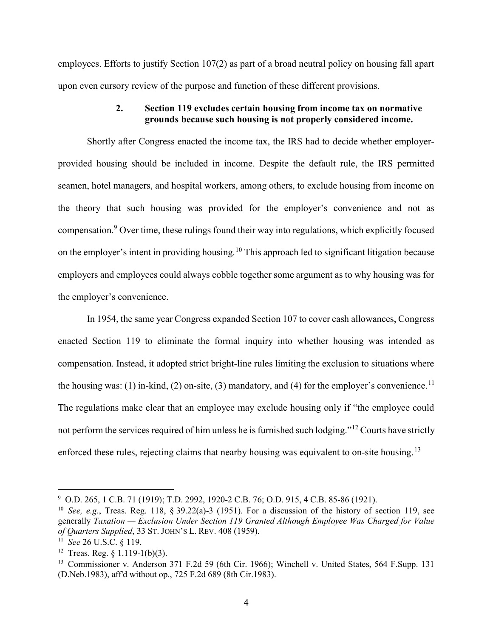employees. Efforts to justify Section 107(2) as part of a broad neutral policy on housing fall apart upon even cursory review of the purpose and function of these different provisions.

# 2. Section 119 excludes certain housing from income tax on normative grounds because such housing is not properly considered income.

Shortly after Congress enacted the income tax, the IRS had to decide whether employerprovided housing should be included in income. Despite the default rule, the IRS permitted seamen, hotel managers, and hospital workers, among others, to exclude housing from income on the theory that such housing was provided for the employer's convenience and not as compensation.<sup>9</sup> Over time, these rulings found their way into regulations, which explicitly focused on the employer's intent in providing housing.<sup>10</sup> This approach led to significant litigation because employers and employees could always cobble together some argument as to why housing was for the employer's convenience.

In 1954, the same year Congress expanded Section 107 to cover cash allowances, Congress enacted Section 119 to eliminate the formal inquiry into whether housing was intended as compensation. Instead, it adopted strict bright-line rules limiting the exclusion to situations where the housing was: (1) in-kind, (2) on-site, (3) mandatory, and (4) for the employer's convenience.<sup>11</sup> The regulations make clear that an employee may exclude housing only if "the employee could not perform the services required of him unless he is furnished such lodging."<sup>12</sup> Courts have strictly enforced these rules, rejecting claims that nearby housing was equivalent to on-site housing.<sup>13</sup>

<sup>&</sup>lt;sup>9</sup> O.D. 265, 1 C.B. 71 (1919); T.D. 2992, 1920-2 C.B. 76; O.D. 915, 4 C.B. 85-86 (1921).

<sup>&</sup>lt;sup>10</sup> See, e.g., Treas. Reg. 118, § 39.22(a)-3 (1951). For a discussion of the history of section 119, see generally Taxation — Exclusion Under Section 119 Granted Although Employee Was Charged for Value of Quarters Supplied, 33 ST. JOHN'S L. REV. 408 (1959).

 $11 \text{ See } 26 \text{ U.S.C. } § 119.$ 

<sup>&</sup>lt;sup>12</sup> Treas. Reg.  $\S$  1.119-1(b)(3).

<sup>&</sup>lt;sup>13</sup> Commissioner v. Anderson 371 F.2d 59 (6th Cir. 1966); Winchell v. United States, 564 F.Supp. 131 (D.Neb.1983), aff'd without op., 725 F.2d 689 (8th Cir.1983).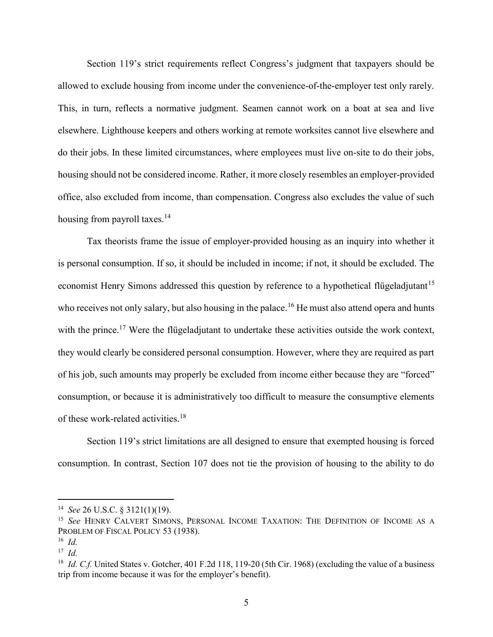Section 119's strict requirements reflect Congress's judgment that taxpayers should be allowed to exclude housing from income under the convenience-of-the-employer test only rarely. This, in turn, reflects a normative judgment. Seamen cannot work on a boat at sea and live elsewhere. Lighthouse keepers and others working at remote worksites cannot live elsewhere and do their jobs. In these limited circumstances, where employees must live on-site to do their jobs, housing should not be considered income. Rather, it more closely resembles an employer-provided office, also excluded from income, than compensation. Congress also excludes the value of such housing from payroll taxes.<sup>14</sup>

Tax theorists frame the issue of employer-provided housing as an inquiry into whether it is personal consumption. If so, it should be included in income; if not, it should be excluded. The economist Henry Simons addressed this question by reference to a hypothetical flügeladjutant<sup>15</sup> who receives not only salary, but also housing in the palace.<sup>16</sup> He must also attend opera and hunts with the prince.<sup>17</sup> Were the flügeladjutant to undertake these activities outside the work context, they would clearly be considered personal consumption. However, where they are required as part of his job, such amounts may properly be excluded from income either because they are "forced" consumption, or because it is administratively too difficult to measure the consumptive elements of these work-related activities.<sup>18</sup>

Section 119's strict limitations are all designed to ensure that exempted housing is forced consumption. In contrast, Section 107 does not tie the provision of housing to the ability to do

<sup>&</sup>lt;sup>14</sup> See 26 U.S.C. § 3121(1)(19).

<sup>&</sup>lt;sup>15</sup> See HENRY CALVERT SIMONS, PERSONAL INCOME TAXATION: THE DEFINITION OF INCOME AS A PROBLEM OF FISCAL POLICY 53 (1938).

 $16$  *Id.* 

 $17$  *Id.* 

<sup>&</sup>lt;sup>18</sup> *Id. C.f.* United States v. Gotcher, 401 F.2d 118, 119-20 (5th Cir. 1968) (excluding the value of a business trip from income because it was for the employer's benefit).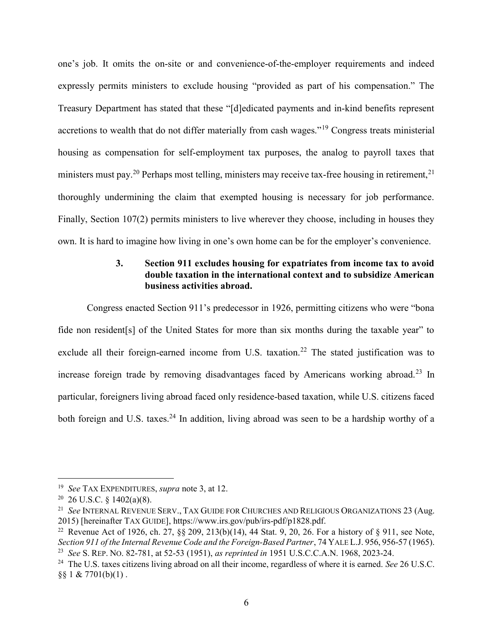one's job. It omits the on-site or and convenience-of-the-employer requirements and indeed expressly permits ministers to exclude housing "provided as part of his compensation." The Treasury Department has stated that these "[d]edicated payments and in-kind benefits represent accretions to wealth that do not differ materially from cash wages."<sup>19</sup> Congress treats ministerial housing as compensation for self-employment tax purposes, the analog to payroll taxes that ministers must pay.<sup>20</sup> Perhaps most telling, ministers may receive tax-free housing in retirement,<sup>21</sup> thoroughly undermining the claim that exempted housing is necessary for job performance. Finally, Section 107(2) permits ministers to live wherever they choose, including in houses they own. It is hard to imagine how living in one's own home can be for the employer's convenience.

# 3. Section 911 excludes housing for expatriates from income tax to avoid double taxation in the international context and to subsidize American business activities abroad.

Congress enacted Section 911's predecessor in 1926, permitting citizens who were "bona fide non resident[s] of the United States for more than six months during the taxable year" to exclude all their foreign-earned income from U.S. taxation.<sup>22</sup> The stated justification was to increase foreign trade by removing disadvantages faced by Americans working abroad.<sup>23</sup> In particular, foreigners living abroad faced only residence-based taxation, while U.S. citizens faced both foreign and U.S. taxes.<sup>24</sup> In addition, living abroad was seen to be a hardship worthy of a

<sup>&</sup>lt;sup>19</sup> See TAX EXPENDITURES, supra note 3, at 12.

 $20\,$  26 U.S.C. § 1402(a)(8).

<sup>&</sup>lt;sup>21</sup> See INTERNAL REVENUE SERV., TAX GUIDE FOR CHURCHES AND RELIGIOUS ORGANIZATIONS 23 (Aug. 2015) [hereinafter TAX GUIDE], https://www.irs.gov/pub/irs-pdf/p1828.pdf.

<sup>&</sup>lt;sup>22</sup> Revenue Act of 1926, ch. 27, §§ 209, 213(b)(14), 44 Stat. 9, 20, 26. For a history of § 911, see Note, Section 911 of the Internal Revenue Code and the Foreign-Based Partner, 74 YALE L.J. 956, 956-57 (1965). <sup>23</sup> See S. REP. No. 82-781, at 52-53 (1951), as reprinted in 1951 U.S.C.C.A.N. 1968, 2023-24.

<sup>&</sup>lt;sup>24</sup> The U.S. taxes citizens living abroad on all their income, regardless of where it is earned. See 26 U.S.C.  $§$ § 1 & 7701(b)(1).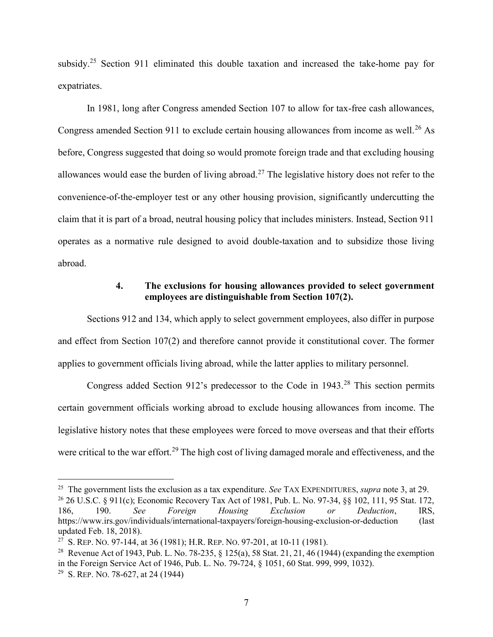subsidy.<sup>25</sup> Section 911 eliminated this double taxation and increased the take-home pay for expatriates.

In 1981, long after Congress amended Section 107 to allow for tax-free cash allowances, Congress amended Section 911 to exclude certain housing allowances from income as well.<sup>26</sup> As before, Congress suggested that doing so would promote foreign trade and that excluding housing allowances would ease the burden of living abroad.<sup>27</sup> The legislative history does not refer to the convenience-of-the-employer test or any other housing provision, significantly undercutting the claim that it is part of a broad, neutral housing policy that includes ministers. Instead, Section 911 operates as a normative rule designed to avoid double-taxation and to subsidize those living abroad.

# 4. The exclusions for housing allowances provided to select government employees are distinguishable from Section 107(2).

Sections 912 and 134, which apply to select government employees, also differ in purpose and effect from Section 107(2) and therefore cannot provide it constitutional cover. The former applies to government officials living abroad, while the latter applies to military personnel.

Congress added Section 912's predecessor to the Code in 1943.<sup>28</sup> This section permits certain government officials working abroad to exclude housing allowances from income. The legislative history notes that these employees were forced to move overseas and that their efforts were critical to the war effort.<sup>29</sup> The high cost of living damaged morale and effectiveness, and the

<sup>&</sup>lt;sup>25</sup> The government lists the exclusion as a tax expenditure. *See* TAX EXPENDITURES, *supra* note 3, at 29.

<sup>26</sup> 26 U.S.C. § 911(c); Economic Recovery Tax Act of 1981, Pub. L. No. 97-34, §§ 102, 111, 95 Stat. 172, 186, 190. See Foreign Housing Exclusion or Deduction, IRS, https://www.irs.gov/individuals/international-taxpayers/foreign-housing-exclusion-or-deduction (last updated Feb. 18, 2018).

<sup>27</sup> S. REP. NO. 97-144, at 36 (1981); H.R. REP. NO. 97-201, at 10-11 (1981).

<sup>&</sup>lt;sup>28</sup> Revenue Act of 1943, Pub. L. No. 78-235, § 125(a), 58 Stat. 21, 21, 46 (1944) (expanding the exemption in the Foreign Service Act of 1946, Pub. L. No. 79-724, § 1051, 60 Stat. 999, 999, 1032). <sup>29</sup> S. REP. No. 78-627, at 24 (1944)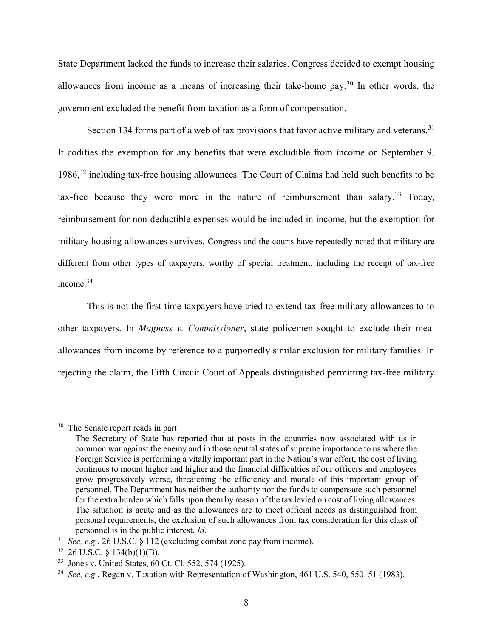State Department lacked the funds to increase their salaries. Congress decided to exempt housing allowances from income as a means of increasing their take-home pay.<sup>30</sup> In other words, the government excluded the benefit from taxation as a form of compensation.

Section 134 forms part of a web of tax provisions that favor active military and veterans.<sup>31</sup> It codifies the exemption for any benefits that were excludible from income on September 9, 1986,<sup>32</sup> including tax-free housing allowances. The Court of Claims had held such benefits to be tax-free because they were more in the nature of reimbursement than salary.<sup>33</sup> Today, reimbursement for non-deductible expenses would be included in income, but the exemption for military housing allowances survives. Congress and the courts have repeatedly noted that military are different from other types of taxpayers, worthy of special treatment, including the receipt of tax-free income.<sup>34</sup>

This is not the first time taxpayers have tried to extend tax-free military allowances to to other taxpayers. In Magness v. Commissioner, state policemen sought to exclude their meal allowances from income by reference to a purportedly similar exclusion for military families. In rejecting the claim, the Fifth Circuit Court of Appeals distinguished permitting tax-free military

<sup>&</sup>lt;sup>30</sup> The Senate report reads in part:

The Secretary of State has reported that at posts in the countries now associated with us in common war against the enemy and in those neutral states of supreme importance to us where the Foreign Service is performing a vitally important part in the Nation's war effort, the cost of living continues to mount higher and higher and the financial difficulties of our officers and employees grow progressively worse, threatening the efficiency and morale of this important group of personnel. The Department has neither the authority nor the funds to compensate such personnel for the extra burden which falls upon them by reason of the tax levied on cost of living allowances. The situation is acute and as the allowances are to meet official needs as distinguished from personal requirements, the exclusion of such allowances from tax consideration for this class of personnel is in the public interest. Id.

 $31$  See, e.g., 26 U.S.C. § 112 (excluding combat zone pay from income).

 $32$  26 U.S.C. § 134(b)(1)(B).

<sup>33</sup> Jones v. United States, 60 Ct. Cl. 552, 574 (1925).

 $34$  See, e.g., Regan v. Taxation with Representation of Washington, 461 U.S. 540, 550–51 (1983).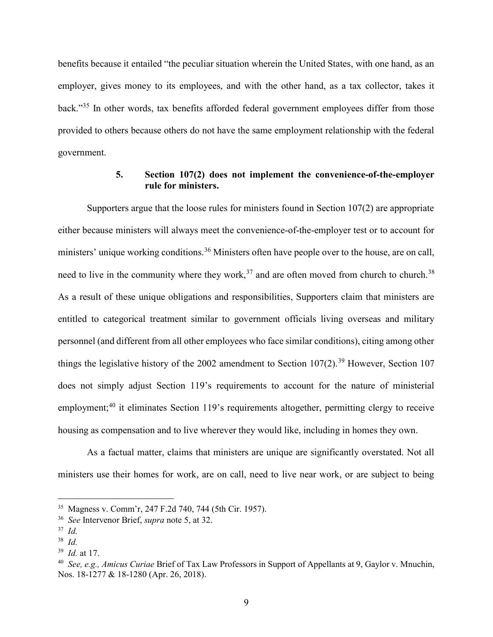benefits because it entailed "the peculiar situation wherein the United States, with one hand, as an employer, gives money to its employees, and with the other hand, as a tax collector, takes it back."<sup>35</sup> In other words, tax benefits afforded federal government employees differ from those provided to others because others do not have the same employment relationship with the federal government.

# 5. Section 107(2) does not implement the convenience-of-the-employer rule for ministers.

Supporters argue that the loose rules for ministers found in Section 107(2) are appropriate either because ministers will always meet the convenience-of-the-employer test or to account for ministers' unique working conditions.<sup>36</sup> Ministers often have people over to the house, are on call, need to live in the community where they work,<sup>37</sup> and are often moved from church to church.<sup>38</sup> As a result of these unique obligations and responsibilities, Supporters claim that ministers are entitled to categorical treatment similar to government officials living overseas and military personnel (and different from all other employees who face similar conditions), citing among other things the legislative history of the 2002 amendment to Section  $107(2)$ .<sup>39</sup> However, Section 107 does not simply adjust Section 119's requirements to account for the nature of ministerial employment;<sup>40</sup> it eliminates Section 119's requirements altogether, permitting clergy to receive housing as compensation and to live wherever they would like, including in homes they own.

As a factual matter, claims that ministers are unique are significantly overstated. Not all ministers use their homes for work, are on call, need to live near work, or are subject to being

<sup>35</sup> Magness v. Comm'r, 247 F.2d 740, 744 (5th Cir. 1957).

<sup>&</sup>lt;sup>36</sup> See Intervenor Brief, *supra* note 5, at 32.

 $37$  *Id.* 

<sup>38</sup> Id.

 $39$  *Id.* at 17.

<sup>&</sup>lt;sup>40</sup> See, e.g., Amicus Curiae Brief of Tax Law Professors in Support of Appellants at 9, Gaylor v. Mnuchin, Nos. 18-1277 & 18-1280 (Apr. 26, 2018).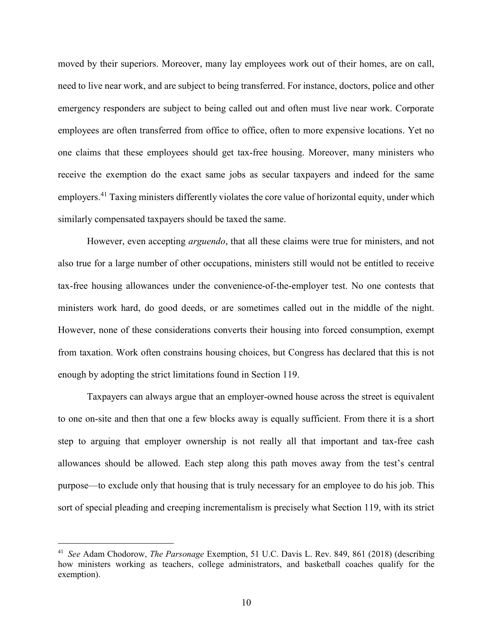moved by their superiors. Moreover, many lay employees work out of their homes, are on call, need to live near work, and are subject to being transferred. For instance, doctors, police and other emergency responders are subject to being called out and often must live near work. Corporate employees are often transferred from office to office, often to more expensive locations. Yet no one claims that these employees should get tax-free housing. Moreover, many ministers who receive the exemption do the exact same jobs as secular taxpayers and indeed for the same employers.<sup>41</sup> Taxing ministers differently violates the core value of horizontal equity, under which similarly compensated taxpayers should be taxed the same.

However, even accepting *arguendo*, that all these claims were true for ministers, and not also true for a large number of other occupations, ministers still would not be entitled to receive tax-free housing allowances under the convenience-of-the-employer test. No one contests that ministers work hard, do good deeds, or are sometimes called out in the middle of the night. However, none of these considerations converts their housing into forced consumption, exempt from taxation. Work often constrains housing choices, but Congress has declared that this is not enough by adopting the strict limitations found in Section 119.

Taxpayers can always argue that an employer-owned house across the street is equivalent to one on-site and then that one a few blocks away is equally sufficient. From there it is a short step to arguing that employer ownership is not really all that important and tax-free cash allowances should be allowed. Each step along this path moves away from the test's central purpose—to exclude only that housing that is truly necessary for an employee to do his job. This sort of special pleading and creeping incrementalism is precisely what Section 119, with its strict

<sup>&</sup>lt;sup>41</sup> See Adam Chodorow, *The Parsonage* Exemption, 51 U.C. Davis L. Rev. 849, 861 (2018) (describing how ministers working as teachers, college administrators, and basketball coaches qualify for the exemption).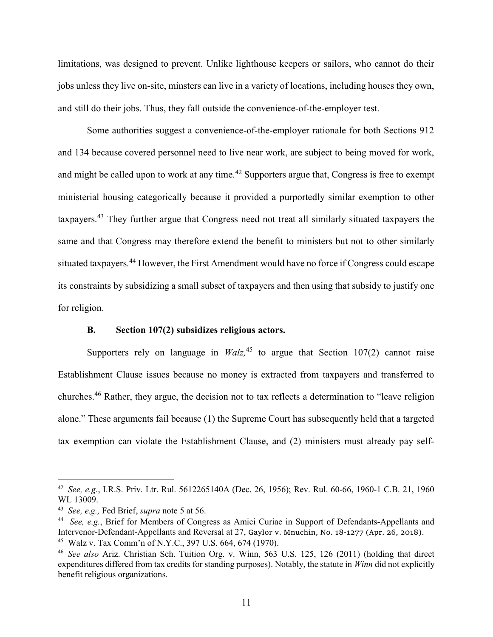limitations, was designed to prevent. Unlike lighthouse keepers or sailors, who cannot do their jobs unless they live on-site, minsters can live in a variety of locations, including houses they own, and still do their jobs. Thus, they fall outside the convenience-of-the-employer test.

Some authorities suggest a convenience-of-the-employer rationale for both Sections 912 and 134 because covered personnel need to live near work, are subject to being moved for work, and might be called upon to work at any time.<sup>42</sup> Supporters argue that, Congress is free to exempt ministerial housing categorically because it provided a purportedly similar exemption to other taxpayers.<sup>43</sup> They further argue that Congress need not treat all similarly situated taxpayers the same and that Congress may therefore extend the benefit to ministers but not to other similarly situated taxpayers.<sup>44</sup> However, the First Amendment would have no force if Congress could escape its constraints by subsidizing a small subset of taxpayers and then using that subsidy to justify one for religion.

#### B. Section 107(2) subsidizes religious actors.

Supporters rely on language in  $Walz$ ,<sup>45</sup> to argue that Section 107(2) cannot raise Establishment Clause issues because no money is extracted from taxpayers and transferred to churches.<sup>46</sup> Rather, they argue, the decision not to tax reflects a determination to "leave religion alone." These arguments fail because (1) the Supreme Court has subsequently held that a targeted tax exemption can violate the Establishment Clause, and (2) ministers must already pay self-

<sup>&</sup>lt;sup>42</sup> See, e.g., I.R.S. Priv. Ltr. Rul. 5612265140A (Dec. 26, 1956); Rev. Rul. 60-66, 1960-1 C.B. 21, 1960 WL 13009.

 $43$  See, e.g., Fed Brief, supra note 5 at 56.

<sup>&</sup>lt;sup>44</sup> See, e.g., Brief for Members of Congress as Amici Curiae in Support of Defendants-Appellants and Intervenor-Defendant-Appellants and Reversal at 27, Gaylor v. Mnuchin, No. 18-1277 (Apr. 26, 2018). <sup>45</sup> Walz v. Tax Comm'n of N.Y.C., 397 U.S. 664, 674 (1970).

<sup>46</sup> See also Ariz. Christian Sch. Tuition Org. v. Winn, 563 U.S. 125, 126 (2011) (holding that direct expenditures differed from tax credits for standing purposes). Notably, the statute in Winn did not explicitly benefit religious organizations.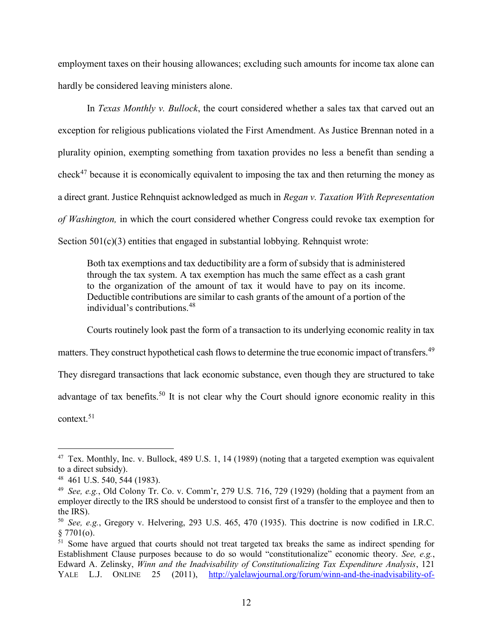employment taxes on their housing allowances; excluding such amounts for income tax alone can hardly be considered leaving ministers alone.

In Texas Monthly v. Bullock, the court considered whether a sales tax that carved out an exception for religious publications violated the First Amendment. As Justice Brennan noted in a plurality opinion, exempting something from taxation provides no less a benefit than sending a check<sup>47</sup> because it is economically equivalent to imposing the tax and then returning the money as a direct grant. Justice Rehnquist acknowledged as much in Regan v. Taxation With Representation of Washington, in which the court considered whether Congress could revoke tax exemption for Section 501(c)(3) entities that engaged in substantial lobbying. Rehnquist wrote:

Both tax exemptions and tax deductibility are a form of subsidy that is administered through the tax system. A tax exemption has much the same effect as a cash grant to the organization of the amount of tax it would have to pay on its income. Deductible contributions are similar to cash grants of the amount of a portion of the individual's contributions.<sup>48</sup>

Courts routinely look past the form of a transaction to its underlying economic reality in tax matters. They construct hypothetical cash flows to determine the true economic impact of transfers.<sup>49</sup> They disregard transactions that lack economic substance, even though they are structured to take advantage of tax benefits.<sup>50</sup> It is not clear why the Court should ignore economic reality in this context.<sup>51</sup>

<sup>&</sup>lt;sup>47</sup> Tex. Monthly, Inc. v. Bullock, 489 U.S. 1, 14 (1989) (noting that a targeted exemption was equivalent to a direct subsidy).

<sup>48</sup> 461 U.S. 540, 544 (1983).

<sup>&</sup>lt;sup>49</sup> See, e.g., Old Colony Tr. Co. v. Comm'r, 279 U.S. 716, 729 (1929) (holding that a payment from an employer directly to the IRS should be understood to consist first of a transfer to the employee and then to the IRS).

<sup>50</sup> See, e.g., Gregory v. Helvering, 293 U.S. 465, 470 (1935). This doctrine is now codified in I.R.C.  $§ 7701(o).$ 

<sup>&</sup>lt;sup>51</sup> Some have argued that courts should not treat targeted tax breaks the same as indirect spending for Establishment Clause purposes because to do so would "constitutionalize" economic theory. See, e.g., Edward A. Zelinsky, Winn and the Inadvisability of Constitutionalizing Tax Expenditure Analysis, 121 YALE L.J. ONLINE 25 (2011), http://yalelawjournal.org/forum/winn-and-the-inadvisability-of-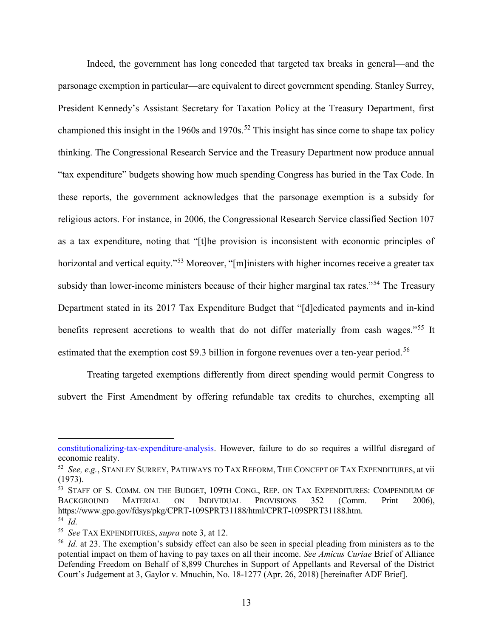Indeed, the government has long conceded that targeted tax breaks in general—and the parsonage exemption in particular—are equivalent to direct government spending. Stanley Surrey, President Kennedy's Assistant Secretary for Taxation Policy at the Treasury Department, first championed this insight in the 1960s and 1970s.<sup>52</sup> This insight has since come to shape tax policy thinking. The Congressional Research Service and the Treasury Department now produce annual "tax expenditure" budgets showing how much spending Congress has buried in the Tax Code. In these reports, the government acknowledges that the parsonage exemption is a subsidy for religious actors. For instance, in 2006, the Congressional Research Service classified Section 107 as a tax expenditure, noting that "[t]he provision is inconsistent with economic principles of horizontal and vertical equity."<sup>53</sup> Moreover, "[m]inisters with higher incomes receive a greater tax subsidy than lower-income ministers because of their higher marginal tax rates."<sup>54</sup> The Treasury Department stated in its 2017 Tax Expenditure Budget that "[d]edicated payments and in-kind benefits represent accretions to wealth that do not differ materially from cash wages."<sup>55</sup> It estimated that the exemption cost \$9.3 billion in forgone revenues over a ten-year period.<sup>56</sup>

Treating targeted exemptions differently from direct spending would permit Congress to subvert the First Amendment by offering refundable tax credits to churches, exempting all

constitutionalizing-tax-expenditure-analysis. However, failure to do so requires a willful disregard of economic reality.

 $52$  See, e.g., STANLEY SURREY, PATHWAYS TO TAX REFORM, THE CONCEPT OF TAX EXPENDITURES, at vii (1973).

<sup>53</sup> STAFF OF S. COMM. ON THE BUDGET, 109TH CONG., REP. ON TAX EXPENDITURES: COMPENDIUM OF BACKGROUND MATERIAL ON INDIVIDUAL PROVISIONS 352 (Comm. Print 2006), https://www.gpo.gov/fdsys/pkg/CPRT-109SPRT31188/html/CPRT-109SPRT31188.htm. 54 Id.

<sup>&</sup>lt;sup>55</sup> See TAX EXPENDITURES, *supra* note 3, at 12.

<sup>&</sup>lt;sup>56</sup> Id. at 23. The exemption's subsidy effect can also be seen in special pleading from ministers as to the potential impact on them of having to pay taxes on all their income. See Amicus Curiae Brief of Alliance Defending Freedom on Behalf of 8,899 Churches in Support of Appellants and Reversal of the District Court's Judgement at 3, Gaylor v. Mnuchin, No. 18-1277 (Apr. 26, 2018) [hereinafter ADF Brief].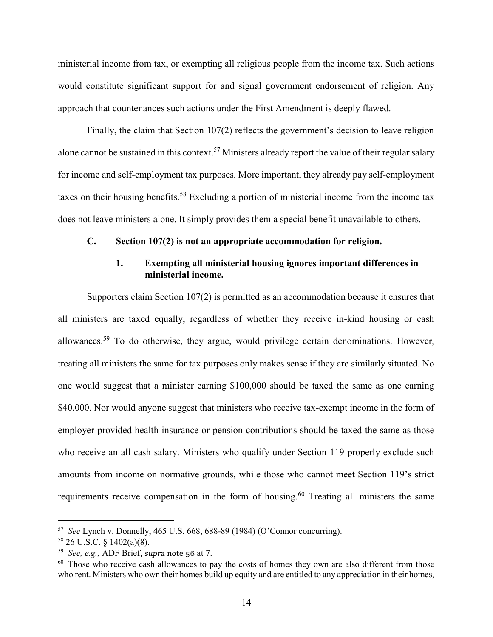ministerial income from tax, or exempting all religious people from the income tax. Such actions would constitute significant support for and signal government endorsement of religion. Any approach that countenances such actions under the First Amendment is deeply flawed.

Finally, the claim that Section 107(2) reflects the government's decision to leave religion alone cannot be sustained in this context.<sup>57</sup> Ministers already report the value of their regular salary for income and self-employment tax purposes. More important, they already pay self-employment taxes on their housing benefits.<sup>58</sup> Excluding a portion of ministerial income from the income tax does not leave ministers alone. It simply provides them a special benefit unavailable to others.

#### C. Section 107(2) is not an appropriate accommodation for religion.

### 1. Exempting all ministerial housing ignores important differences in ministerial income.

Supporters claim Section 107(2) is permitted as an accommodation because it ensures that all ministers are taxed equally, regardless of whether they receive in-kind housing or cash allowances.<sup>59</sup> To do otherwise, they argue, would privilege certain denominations. However, treating all ministers the same for tax purposes only makes sense if they are similarly situated. No one would suggest that a minister earning \$100,000 should be taxed the same as one earning \$40,000. Nor would anyone suggest that ministers who receive tax-exempt income in the form of employer-provided health insurance or pension contributions should be taxed the same as those who receive an all cash salary. Ministers who qualify under Section 119 properly exclude such amounts from income on normative grounds, while those who cannot meet Section 119's strict requirements receive compensation in the form of housing.<sup>60</sup> Treating all ministers the same

 $57$  See Lynch v. Donnelly, 465 U.S. 668, 688-89 (1984) (O'Connor concurring).

 $58$  26 U.S.C. § 1402(a)(8).

 $59$  See, e.g., ADF Brief, supra note 56 at 7.

 $60$  Those who receive cash allowances to pay the costs of homes they own are also different from those who rent. Ministers who own their homes build up equity and are entitled to any appreciation in their homes,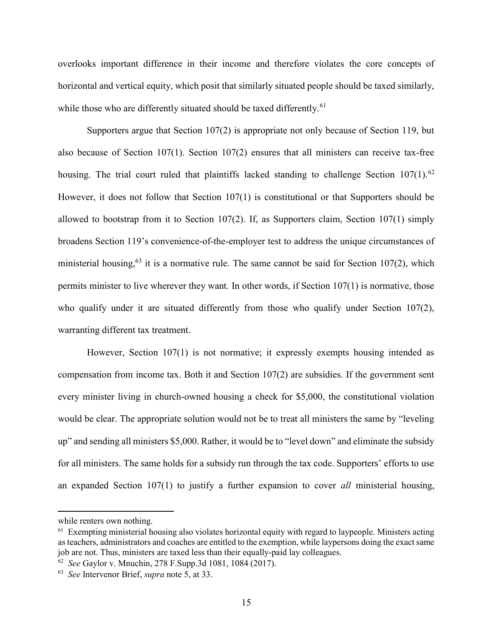overlooks important difference in their income and therefore violates the core concepts of horizontal and vertical equity, which posit that similarly situated people should be taxed similarly, while those who are differently situated should be taxed differently.<sup>61</sup>

Supporters argue that Section 107(2) is appropriate not only because of Section 119, but also because of Section 107(1). Section 107(2) ensures that all ministers can receive tax-free housing. The trial court ruled that plaintiffs lacked standing to challenge Section  $107(1)$ .<sup>62</sup> However, it does not follow that Section 107(1) is constitutional or that Supporters should be allowed to bootstrap from it to Section 107(2). If, as Supporters claim, Section 107(1) simply broadens Section 119's convenience-of-the-employer test to address the unique circumstances of ministerial housing,<sup>63</sup> it is a normative rule. The same cannot be said for Section 107(2), which permits minister to live wherever they want. In other words, if Section 107(1) is normative, those who qualify under it are situated differently from those who qualify under Section  $107(2)$ , warranting different tax treatment.

However, Section 107(1) is not normative; it expressly exempts housing intended as compensation from income tax. Both it and Section 107(2) are subsidies. If the government sent every minister living in church-owned housing a check for \$5,000, the constitutional violation would be clear. The appropriate solution would not be to treat all ministers the same by "leveling up" and sending all ministers \$5,000. Rather, it would be to "level down" and eliminate the subsidy for all ministers. The same holds for a subsidy run through the tax code. Supporters' efforts to use an expanded Section 107(1) to justify a further expansion to cover all ministerial housing,

while renters own nothing.

 $61$  Exempting ministerial housing also violates horizontal equity with regard to laypeople. Ministers acting as teachers, administrators and coaches are entitled to the exemption, while laypersons doing the exact same job are not. Thus, ministers are taxed less than their equally-paid lay colleagues.

<sup>62</sup> See Gaylor v. Mnuchin, 278 F.Supp.3d 1081, 1084 (2017).

 $63$  See Intervenor Brief, supra note 5, at 33.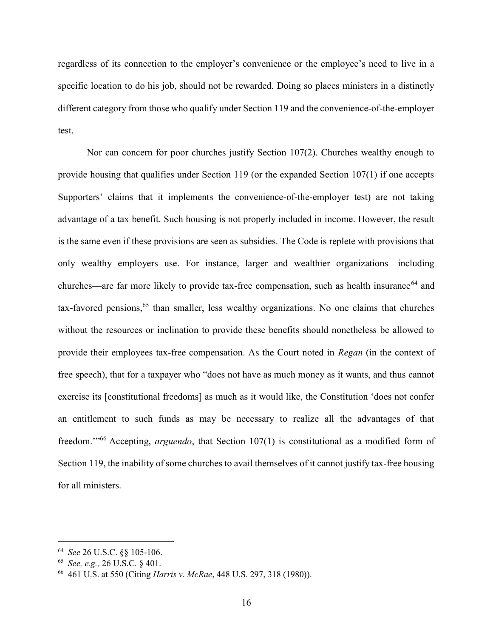regardless of its connection to the employer's convenience or the employee's need to live in a specific location to do his job, should not be rewarded. Doing so places ministers in a distinctly different category from those who qualify under Section 119 and the convenience-of-the-employer test.

Nor can concern for poor churches justify Section 107(2). Churches wealthy enough to provide housing that qualifies under Section 119 (or the expanded Section 107(1) if one accepts Supporters' claims that it implements the convenience-of-the-employer test) are not taking advantage of a tax benefit. Such housing is not properly included in income. However, the result is the same even if these provisions are seen as subsidies. The Code is replete with provisions that only wealthy employers use. For instance, larger and wealthier organizations—including churches—are far more likely to provide tax-free compensation, such as health insurance<sup>64</sup> and  $tax-favored~pensions<sup>65</sup> than smaller, less weakly organizations. No one claims that churches$ without the resources or inclination to provide these benefits should nonetheless be allowed to provide their employees tax-free compensation. As the Court noted in Regan (in the context of free speech), that for a taxpayer who "does not have as much money as it wants, and thus cannot exercise its [constitutional freedoms] as much as it would like, the Constitution 'does not confer an entitlement to such funds as may be necessary to realize all the advantages of that freedom."<sup>66</sup> Accepting, *arguendo*, that Section 107(1) is constitutional as a modified form of Section 119, the inability of some churches to avail themselves of it cannot justify tax-free housing for all ministers.

<sup>64</sup> See 26 U.S.C. §§ 105-106.

<sup>65</sup> See, e.g., 26 U.S.C. § 401.

<sup>66</sup> 461 U.S. at 550 (Citing Harris v. McRae, 448 U.S. 297, 318 (1980)).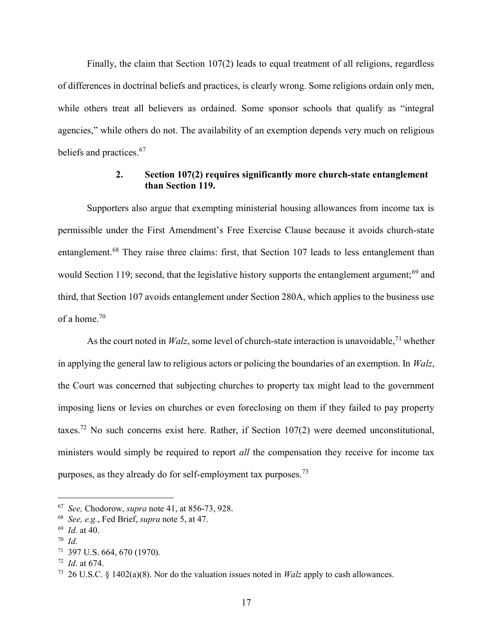Finally, the claim that Section 107(2) leads to equal treatment of all religions, regardless of differences in doctrinal beliefs and practices, is clearly wrong. Some religions ordain only men, while others treat all believers as ordained. Some sponsor schools that qualify as "integral agencies," while others do not. The availability of an exemption depends very much on religious beliefs and practices.<sup>67</sup>

## 2. Section 107(2) requires significantly more church-state entanglement than Section 119.

Supporters also argue that exempting ministerial housing allowances from income tax is permissible under the First Amendment's Free Exercise Clause because it avoids church-state entanglement.<sup>68</sup> They raise three claims: first, that Section 107 leads to less entanglement than would Section 119; second, that the legislative history supports the entanglement argument;<sup>69</sup> and third, that Section 107 avoids entanglement under Section 280A, which applies to the business use of a home.<sup>70</sup>

As the court noted in *Walz*, some level of church-state interaction is unavoidable,  $71$  whether in applying the general law to religious actors or policing the boundaries of an exemption. In Walz, the Court was concerned that subjecting churches to property tax might lead to the government imposing liens or levies on churches or even foreclosing on them if they failed to pay property taxes.<sup>72</sup> No such concerns exist here. Rather, if Section  $107(2)$  were deemed unconstitutional, ministers would simply be required to report *all* the compensation they receive for income tax purposes, as they already do for self-employment tax purposes.<sup>73</sup>

 $67$  See, Chodorow, supra note 41, at 856-73, 928.

 $68$  See, e.g., Fed Brief, supra note 5, at 47.

 $69$  *Id.* at 40.

<sup>70</sup> Id.

 $71$  397 U.S. 664, 670 (1970).

 $72$  *Id.* at 674.

<sup>&</sup>lt;sup>73</sup> 26 U.S.C. § 1402(a)(8). Nor do the valuation issues noted in *Walz* apply to cash allowances.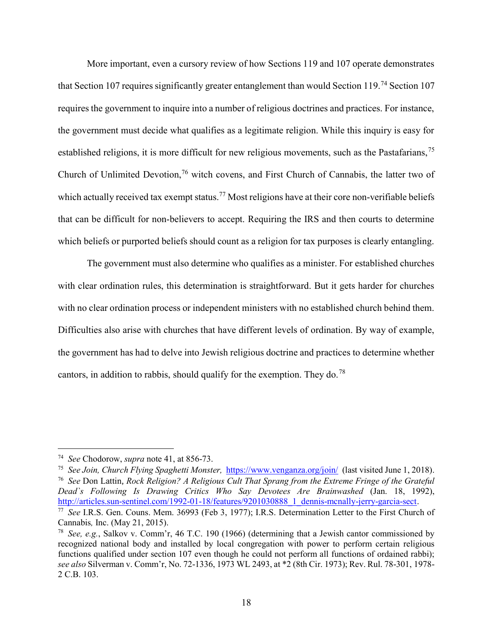More important, even a cursory review of how Sections 119 and 107 operate demonstrates that Section 107 requires significantly greater entanglement than would Section 119.<sup>74</sup> Section 107 requires the government to inquire into a number of religious doctrines and practices. For instance, the government must decide what qualifies as a legitimate religion. While this inquiry is easy for established religions, it is more difficult for new religious movements, such as the Pastafarians,<sup>75</sup> Church of Unlimited Devotion,<sup>76</sup> witch covens, and First Church of Cannabis, the latter two of which actually received tax exempt status.<sup>77</sup> Most religions have at their core non-verifiable beliefs that can be difficult for non-believers to accept. Requiring the IRS and then courts to determine which beliefs or purported beliefs should count as a religion for tax purposes is clearly entangling.

The government must also determine who qualifies as a minister. For established churches with clear ordination rules, this determination is straightforward. But it gets harder for churches with no clear ordination process or independent ministers with no established church behind them. Difficulties also arise with churches that have different levels of ordination. By way of example, the government has had to delve into Jewish religious doctrine and practices to determine whether cantors, in addition to rabbis, should qualify for the exemption. They do.<sup>78</sup>

<sup>&</sup>lt;sup>74</sup> See Chodorow, supra note 41, at 856-73.

<sup>&</sup>lt;sup>75</sup> See Join, Church Flying Spaghetti Monster, https://www.venganza.org/join/ (last visited June 1, 2018). <sup>76</sup> See Don Lattin, Rock Religion? A Religious Cult That Sprang from the Extreme Fringe of the Grateful Dead`s Following Is Drawing Critics Who Say Devotees Are Brainwashed (Jan. 18, 1992), http://articles.sun-sentinel.com/1992-01-18/features/9201030888\_1\_dennis-mcnally-jerry-garcia-sect.

<sup>77</sup> See I.R.S. Gen. Couns. Mem. 36993 (Feb 3, 1977); I.R.S. Determination Letter to the First Church of Cannabis, Inc. (May 21, 2015).

<sup>&</sup>lt;sup>78</sup> See, e.g., Salkov v. Comm'r, 46 T.C. 190 (1966) (determining that a Jewish cantor commissioned by recognized national body and installed by local congregation with power to perform certain religious functions qualified under section 107 even though he could not perform all functions of ordained rabbi); see also Silverman v. Comm'r, No. 72-1336, 1973 WL 2493, at \*2 (8th Cir. 1973); Rev. Rul. 78-301, 1978- 2 C.B. 103.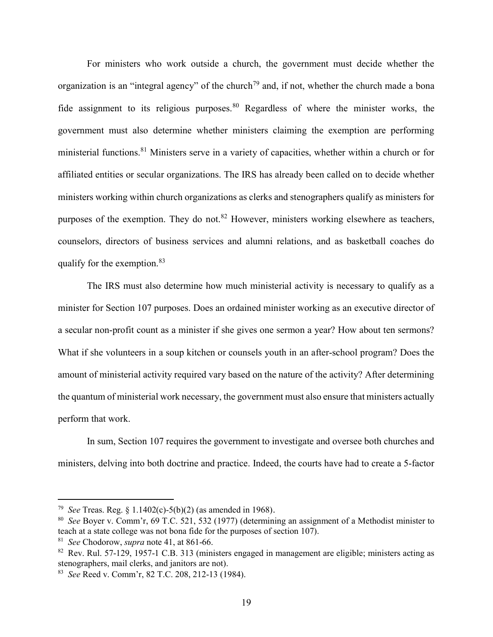For ministers who work outside a church, the government must decide whether the organization is an "integral agency" of the church<sup>79</sup> and, if not, whether the church made a bona fide assignment to its religious purposes.<sup>80</sup> Regardless of where the minister works, the government must also determine whether ministers claiming the exemption are performing ministerial functions.<sup>81</sup> Ministers serve in a variety of capacities, whether within a church or for affiliated entities or secular organizations. The IRS has already been called on to decide whether ministers working within church organizations as clerks and stenographers qualify as ministers for purposes of the exemption. They do not.<sup>82</sup> However, ministers working elsewhere as teachers, counselors, directors of business services and alumni relations, and as basketball coaches do qualify for the exemption.<sup>83</sup>

The IRS must also determine how much ministerial activity is necessary to qualify as a minister for Section 107 purposes. Does an ordained minister working as an executive director of a secular non-profit count as a minister if she gives one sermon a year? How about ten sermons? What if she volunteers in a soup kitchen or counsels youth in an after-school program? Does the amount of ministerial activity required vary based on the nature of the activity? After determining the quantum of ministerial work necessary, the government must also ensure that ministers actually perform that work.

In sum, Section 107 requires the government to investigate and oversee both churches and ministers, delving into both doctrine and practice. Indeed, the courts have had to create a 5-factor

<sup>&</sup>lt;sup>79</sup> See Treas. Reg. § 1.1402(c)-5(b)(2) (as amended in 1968).

<sup>80</sup> See Boyer v. Comm'r, 69 T.C. 521, 532 (1977) (determining an assignment of a Methodist minister to teach at a state college was not bona fide for the purposes of section 107).

<sup>&</sup>lt;sup>81</sup> See Chodorow, supra note 41, at 861-66.

<sup>82</sup> Rev. Rul. 57-129, 1957-1 C.B. 313 (ministers engaged in management are eligible; ministers acting as stenographers, mail clerks, and janitors are not).

<sup>83</sup> See Reed v. Comm'r, 82 T.C. 208, 212-13 (1984).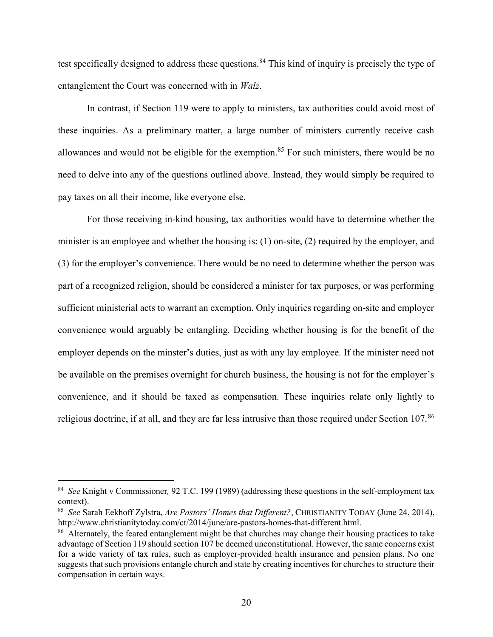test specifically designed to address these questions.<sup>84</sup> This kind of inquiry is precisely the type of entanglement the Court was concerned with in Walz.

In contrast, if Section 119 were to apply to ministers, tax authorities could avoid most of these inquiries. As a preliminary matter, a large number of ministers currently receive cash allowances and would not be eligible for the exemption.<sup>85</sup> For such ministers, there would be no need to delve into any of the questions outlined above. Instead, they would simply be required to pay taxes on all their income, like everyone else.

For those receiving in-kind housing, tax authorities would have to determine whether the minister is an employee and whether the housing is: (1) on-site, (2) required by the employer, and (3) for the employer's convenience. There would be no need to determine whether the person was part of a recognized religion, should be considered a minister for tax purposes, or was performing sufficient ministerial acts to warrant an exemption. Only inquiries regarding on-site and employer convenience would arguably be entangling. Deciding whether housing is for the benefit of the employer depends on the minster's duties, just as with any lay employee. If the minister need not be available on the premises overnight for church business, the housing is not for the employer's convenience, and it should be taxed as compensation. These inquiries relate only lightly to religious doctrine, if at all, and they are far less intrusive than those required under Section 107.<sup>86</sup>

<sup>&</sup>lt;sup>84</sup> See Knight v Commissioner, 92 T.C. 199 (1989) (addressing these questions in the self-employment tax context).

<sup>&</sup>lt;sup>85</sup> See Sarah Eekhoff Zylstra, Are Pastors' Homes that Different?, CHRISTIANITY TODAY (June 24, 2014), http://www.christianitytoday.com/ct/2014/june/are-pastors-homes-that-different.html.

<sup>&</sup>lt;sup>86</sup> Alternately, the feared entanglement might be that churches may change their housing practices to take advantage of Section 119 should section 107 be deemed unconstitutional. However, the same concerns exist for a wide variety of tax rules, such as employer-provided health insurance and pension plans. No one suggests that such provisions entangle church and state by creating incentives for churches to structure their compensation in certain ways.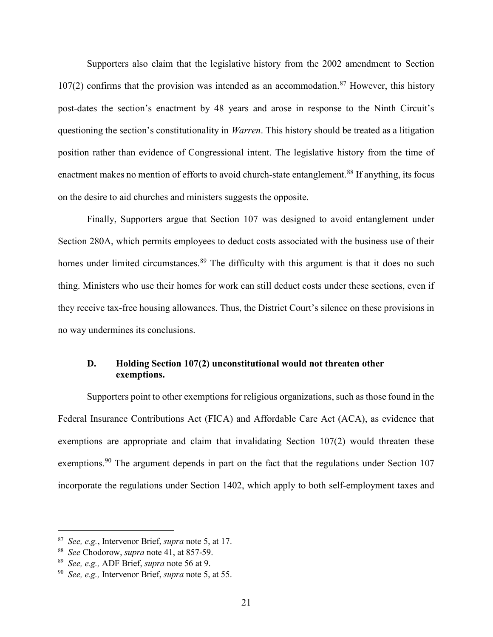Supporters also claim that the legislative history from the 2002 amendment to Section  $107(2)$  confirms that the provision was intended as an accommodation.<sup>87</sup> However, this history post-dates the section's enactment by 48 years and arose in response to the Ninth Circuit's questioning the section's constitutionality in *Warren*. This history should be treated as a litigation position rather than evidence of Congressional intent. The legislative history from the time of enactment makes no mention of efforts to avoid church-state entanglement.<sup>88</sup> If anything, its focus on the desire to aid churches and ministers suggests the opposite.

Finally, Supporters argue that Section 107 was designed to avoid entanglement under Section 280A, which permits employees to deduct costs associated with the business use of their homes under limited circumstances.<sup>89</sup> The difficulty with this argument is that it does no such thing. Ministers who use their homes for work can still deduct costs under these sections, even if they receive tax-free housing allowances. Thus, the District Court's silence on these provisions in no way undermines its conclusions.

### D. Holding Section 107(2) unconstitutional would not threaten other exemptions.

Supporters point to other exemptions for religious organizations, such as those found in the Federal Insurance Contributions Act (FICA) and Affordable Care Act (ACA), as evidence that exemptions are appropriate and claim that invalidating Section 107(2) would threaten these exemptions.<sup>90</sup> The argument depends in part on the fact that the regulations under Section 107 incorporate the regulations under Section 1402, which apply to both self-employment taxes and

<sup>&</sup>lt;sup>87</sup> See, e.g., Intervenor Brief, *supra* note 5, at 17.

<sup>&</sup>lt;sup>88</sup> See Chodorow, *supra* note 41, at 857-59.

<sup>&</sup>lt;sup>89</sup> See, e.g., ADF Brief, supra note 56 at 9.

 $90$  See, e.g., Intervenor Brief, supra note 5, at 55.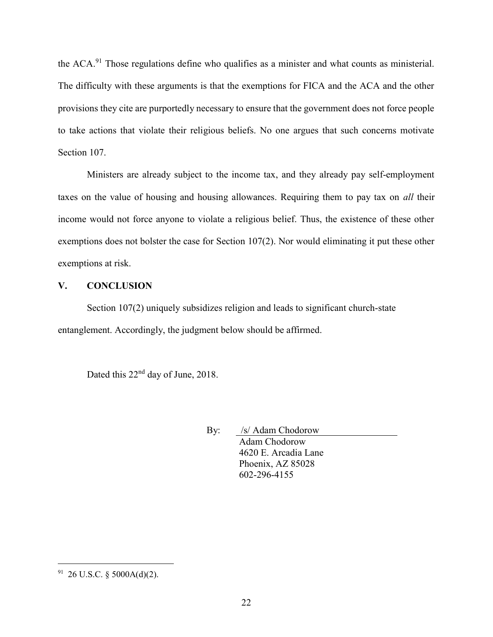the ACA.<sup>91</sup> Those regulations define who qualifies as a minister and what counts as ministerial. The difficulty with these arguments is that the exemptions for FICA and the ACA and the other provisions they cite are purportedly necessary to ensure that the government does not force people to take actions that violate their religious beliefs. No one argues that such concerns motivate Section 107.

Ministers are already subject to the income tax, and they already pay self-employment taxes on the value of housing and housing allowances. Requiring them to pay tax on all their income would not force anyone to violate a religious belief. Thus, the existence of these other exemptions does not bolster the case for Section 107(2). Nor would eliminating it put these other exemptions at risk.

# V. CONCLUSION

Section 107(2) uniquely subsidizes religion and leads to significant church-state entanglement. Accordingly, the judgment below should be affirmed.

Dated this 22<sup>nd</sup> day of June, 2018.

By: /s/ Adam Chodorow Adam Chodorow 4620 E. Arcadia Lane Phoenix, AZ 85028 602-296-4155

 $91$  26 U.S.C. § 5000A(d)(2).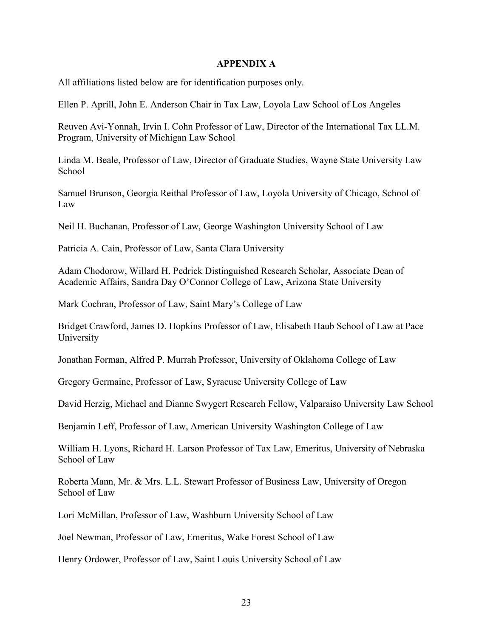#### APPENDIX A

All affiliations listed below are for identification purposes only.

Ellen P. Aprill, John E. Anderson Chair in Tax Law, Loyola Law School of Los Angeles

Reuven Avi-Yonnah, Irvin I. Cohn Professor of Law, Director of the International Tax LL.M. Program, University of Michigan Law School

Linda M. Beale, Professor of Law, Director of Graduate Studies, Wayne State University Law School

Samuel Brunson, Georgia Reithal Professor of Law, Loyola University of Chicago, School of Law

Neil H. Buchanan, Professor of Law, George Washington University School of Law

Patricia A. Cain, Professor of Law, Santa Clara University

Adam Chodorow, Willard H. Pedrick Distinguished Research Scholar, Associate Dean of Academic Affairs, Sandra Day O'Connor College of Law, Arizona State University

Mark Cochran, Professor of Law, Saint Mary's College of Law

Bridget Crawford, James D. Hopkins Professor of Law, Elisabeth Haub School of Law at Pace University

Jonathan Forman, Alfred P. Murrah Professor, University of Oklahoma College of Law

Gregory Germaine, Professor of Law, Syracuse University College of Law

David Herzig, Michael and Dianne Swygert Research Fellow, Valparaiso University Law School

Benjamin Leff, Professor of Law, American University Washington College of Law

William H. Lyons, Richard H. Larson Professor of Tax Law, Emeritus, University of Nebraska School of Law

Roberta Mann, Mr. & Mrs. L.L. Stewart Professor of Business Law, University of Oregon School of Law

Lori McMillan, Professor of Law, Washburn University School of Law

Joel Newman, Professor of Law, Emeritus, Wake Forest School of Law

Henry Ordower, Professor of Law, Saint Louis University School of Law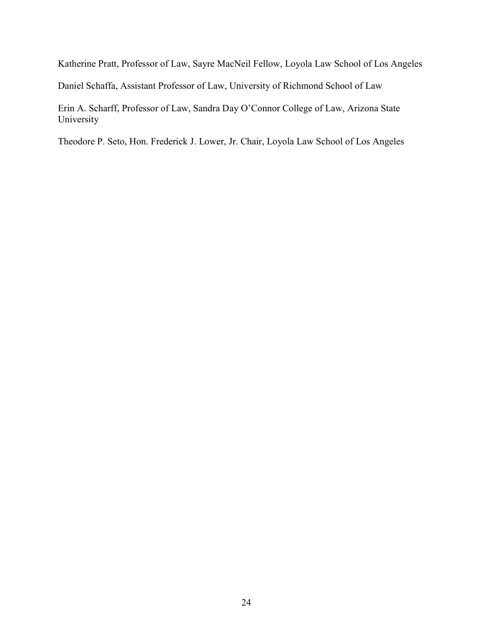Katherine Pratt, Professor of Law, Sayre MacNeil Fellow, Loyola Law School of Los Angeles

Daniel Schaffa, Assistant Professor of Law, University of Richmond School of Law

Erin A. Scharff, Professor of Law, Sandra Day O'Connor College of Law, Arizona State University

Theodore P. Seto, Hon. Frederick J. Lower, Jr. Chair, Loyola Law School of Los Angeles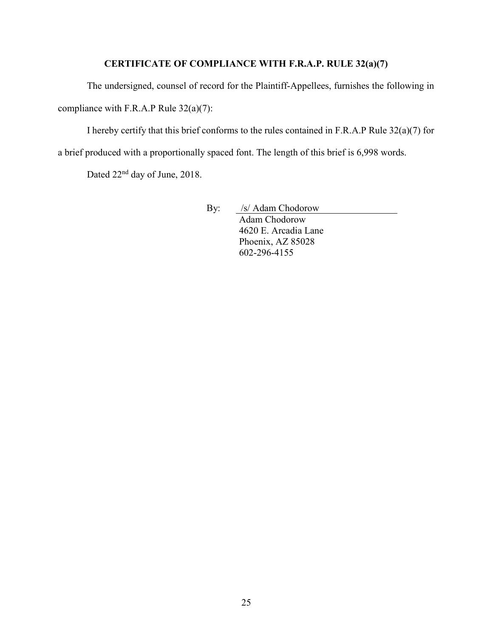# CERTIFICATE OF COMPLIANCE WITH F.R.A.P. RULE 32(a)(7)

The undersigned, counsel of record for the Plaintiff-Appellees, furnishes the following in

compliance with F.R.A.P Rule 32(a)(7):

I hereby certify that this brief conforms to the rules contained in F.R.A.P Rule 32(a)(7) for

a brief produced with a proportionally spaced font. The length of this brief is 6,998 words.

Dated 22<sup>nd</sup> day of June, 2018.

By: /s/ Adam Chodorow Adam Chodorow 4620 E. Arcadia Lane Phoenix, AZ 85028 602-296-4155